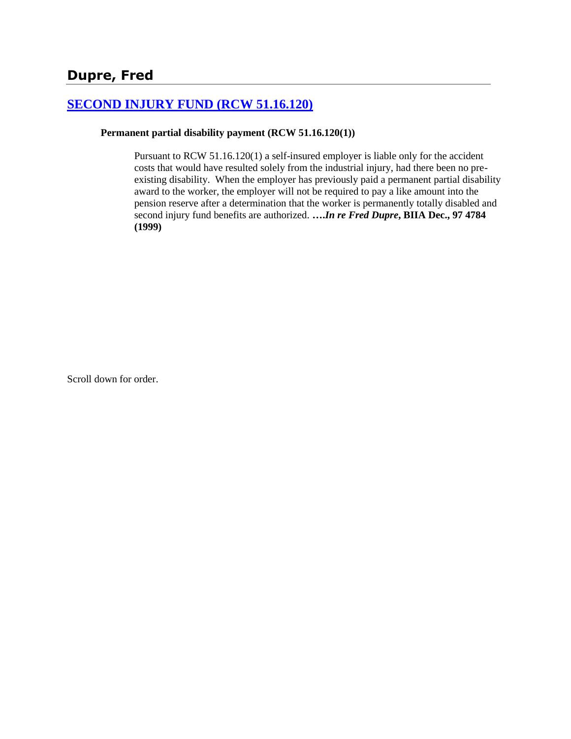# **[SECOND INJURY FUND \(RCW 51.16.120\)](http://www.biia.wa.gov/SDSubjectIndex.html#SECOND_INJURY_FUND)**

#### **Permanent partial disability payment (RCW 51.16.120(1))**

Pursuant to RCW 51.16.120(1) a self-insured employer is liable only for the accident costs that would have resulted solely from the industrial injury, had there been no preexisting disability. When the employer has previously paid a permanent partial disability award to the worker, the employer will not be required to pay a like amount into the pension reserve after a determination that the worker is permanently totally disabled and second injury fund benefits are authorized. **….***In re Fred Dupre***, BIIA Dec., 97 4784 (1999)** 

Scroll down for order.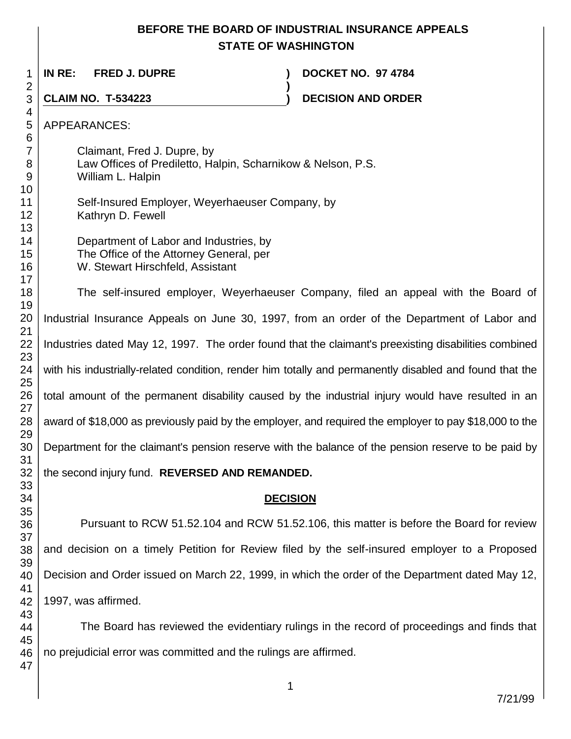## **BEFORE THE BOARD OF INDUSTRIAL INSURANCE APPEALS STATE OF WASHINGTON**

**)**

**IN RE: FRED J. DUPRE ) DOCKET NO. 97 4784**

**CLAIM NO. T-534223 ) DECISION AND ORDER** 

APPEARANCES:

Claimant, Fred J. Dupre, by Law Offices of Prediletto, Halpin, Scharnikow & Nelson, P.S. William L. Halpin

- Self-Insured Employer, Weyerhaeuser Company, by Kathryn D. Fewell
	- Department of Labor and Industries, by The Office of the Attorney General, per W. Stewart Hirschfeld, Assistant

The self-insured employer, Weyerhaeuser Company, filed an appeal with the Board of Industrial Insurance Appeals on June 30, 1997, from an order of the Department of Labor and Industries dated May 12, 1997. The order found that the claimant's preexisting disabilities combined with his industrially-related condition, render him totally and permanently disabled and found that the total amount of the permanent disability caused by the industrial injury would have resulted in an award of \$18,000 as previously paid by the employer, and required the employer to pay \$18,000 to the Department for the claimant's pension reserve with the balance of the pension reserve to be paid by the second injury fund. **REVERSED AND REMANDED.**

### **DECISION**

Pursuant to RCW 51.52.104 and RCW 51.52.106, this matter is before the Board for review and decision on a timely Petition for Review filed by the self-insured employer to a Proposed Decision and Order issued on March 22, 1999, in which the order of the Department dated May 12, 1997, was affirmed.

The Board has reviewed the evidentiary rulings in the record of proceedings and finds that no prejudicial error was committed and the rulings are affirmed.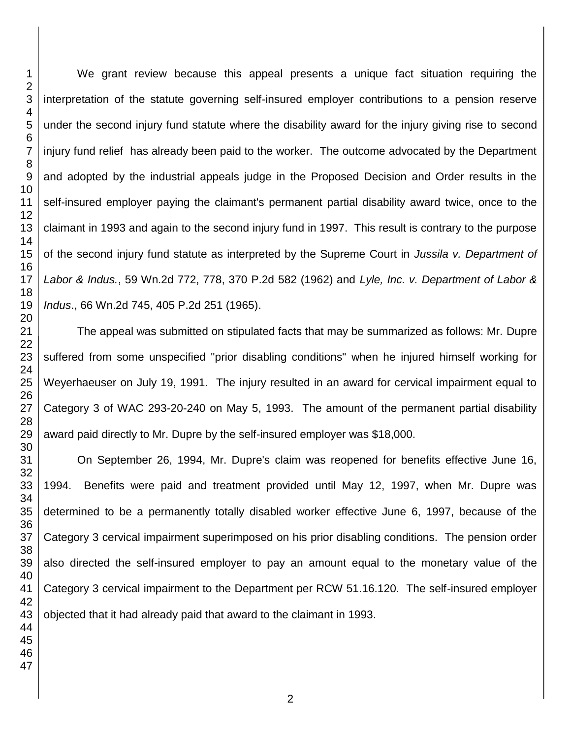We grant review because this appeal presents a unique fact situation requiring the interpretation of the statute governing self-insured employer contributions to a pension reserve under the second injury fund statute where the disability award for the injury giving rise to second injury fund relief has already been paid to the worker. The outcome advocated by the Department and adopted by the industrial appeals judge in the Proposed Decision and Order results in the self-insured employer paying the claimant's permanent partial disability award twice, once to the claimant in 1993 and again to the second injury fund in 1997. This result is contrary to the purpose of the second injury fund statute as interpreted by the Supreme Court in *Jussila v. Department of Labor & Indus.*, 59 Wn.2d 772, 778, 370 P.2d 582 (1962) and *Lyle, Inc. v. Department of Labor & Indus*., 66 Wn.2d 745, 405 P.2d 251 (1965).

The appeal was submitted on stipulated facts that may be summarized as follows: Mr. Dupre suffered from some unspecified "prior disabling conditions" when he injured himself working for Weyerhaeuser on July 19, 1991. The injury resulted in an award for cervical impairment equal to Category 3 of WAC 293-20-240 on May 5, 1993. The amount of the permanent partial disability award paid directly to Mr. Dupre by the self-insured employer was \$18,000.

On September 26, 1994, Mr. Dupre's claim was reopened for benefits effective June 16, 1994. Benefits were paid and treatment provided until May 12, 1997, when Mr. Dupre was determined to be a permanently totally disabled worker effective June 6, 1997, because of the Category 3 cervical impairment superimposed on his prior disabling conditions. The pension order also directed the self-insured employer to pay an amount equal to the monetary value of the Category 3 cervical impairment to the Department per RCW 51.16.120. The self-insured employer objected that it had already paid that award to the claimant in 1993.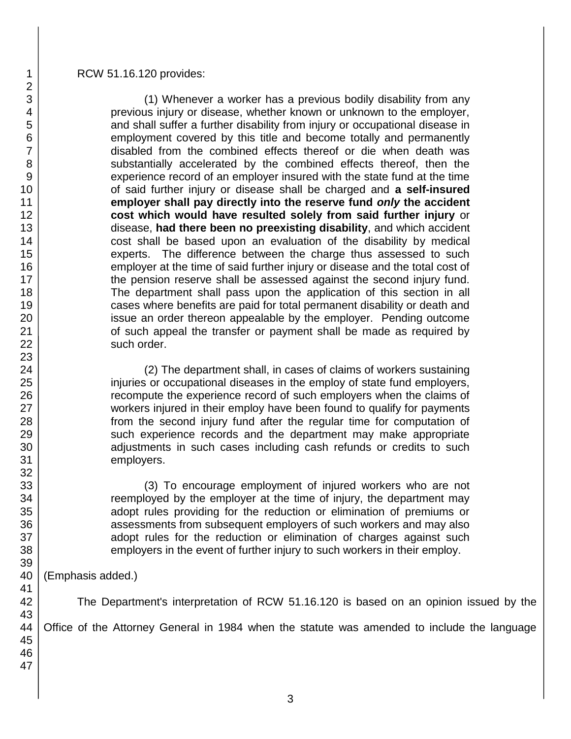#### RCW 51.16.120 provides:

(1) Whenever a worker has a previous bodily disability from any previous injury or disease, whether known or unknown to the employer, and shall suffer a further disability from injury or occupational disease in employment covered by this title and become totally and permanently disabled from the combined effects thereof or die when death was substantially accelerated by the combined effects thereof, then the experience record of an employer insured with the state fund at the time of said further injury or disease shall be charged and **a self-insured employer shall pay directly into the reserve fund** *only* **the accident cost which would have resulted solely from said further injury** or disease, **had there been no preexisting disability**, and which accident cost shall be based upon an evaluation of the disability by medical experts. The difference between the charge thus assessed to such employer at the time of said further injury or disease and the total cost of the pension reserve shall be assessed against the second injury fund. The department shall pass upon the application of this section in all cases where benefits are paid for total permanent disability or death and issue an order thereon appealable by the employer. Pending outcome of such appeal the transfer or payment shall be made as required by such order.

(2) The department shall, in cases of claims of workers sustaining injuries or occupational diseases in the employ of state fund employers, recompute the experience record of such employers when the claims of workers injured in their employ have been found to qualify for payments from the second injury fund after the regular time for computation of such experience records and the department may make appropriate adjustments in such cases including cash refunds or credits to such employers.

(3) To encourage employment of injured workers who are not reemployed by the employer at the time of injury, the department may adopt rules providing for the reduction or elimination of premiums or assessments from subsequent employers of such workers and may also adopt rules for the reduction or elimination of charges against such employers in the event of further injury to such workers in their employ.

(Emphasis added.)

The Department's interpretation of RCW 51.16.120 is based on an opinion issued by the

Office of the Attorney General in 1984 when the statute was amended to include the language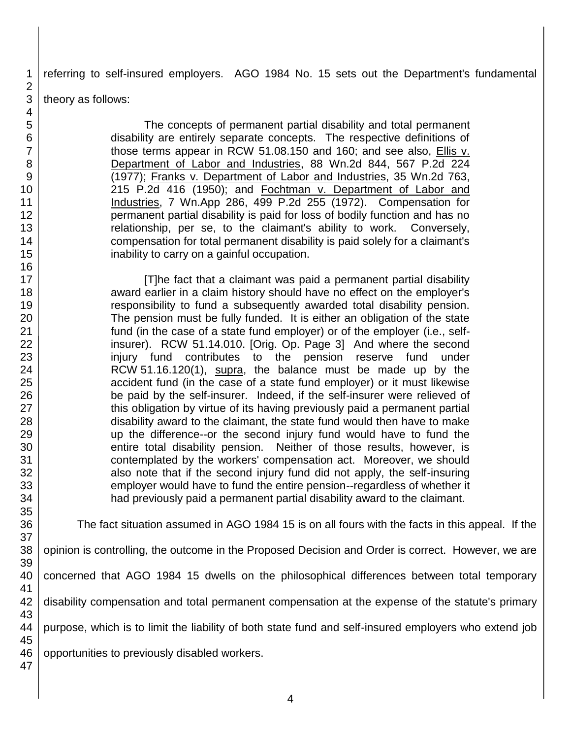referring to self-insured employers. AGO 1984 No. 15 sets out the Department's fundamental

theory as follows:

The concepts of permanent partial disability and total permanent disability are entirely separate concepts. The respective definitions of those terms appear in RCW 51.08.150 and 160; and see also, **Ellis v.** Department of Labor and Industries, 88 Wn.2d 844, 567 P.2d 224 (1977); Franks v. Department of Labor and Industries, 35 Wn.2d 763, 215 P.2d 416 (1950); and Fochtman v. Department of Labor and Industries, 7 Wn.App 286, 499 P.2d 255 (1972). Compensation for permanent partial disability is paid for loss of bodily function and has no relationship, per se, to the claimant's ability to work. Conversely, compensation for total permanent disability is paid solely for a claimant's inability to carry on a gainful occupation.

[T]he fact that a claimant was paid a permanent partial disability award earlier in a claim history should have no effect on the employer's responsibility to fund a subsequently awarded total disability pension. The pension must be fully funded. It is either an obligation of the state fund (in the case of a state fund employer) or of the employer (i.e., selfinsurer). RCW 51.14.010. [Orig. Op. Page 3] And where the second injury fund contributes to the pension reserve fund under RCW 51.16.120(1), supra, the balance must be made up by the accident fund (in the case of a state fund employer) or it must likewise be paid by the self-insurer. Indeed, if the self-insurer were relieved of this obligation by virtue of its having previously paid a permanent partial disability award to the claimant, the state fund would then have to make up the difference--or the second injury fund would have to fund the entire total disability pension. Neither of those results, however, is contemplated by the workers' compensation act. Moreover, we should also note that if the second injury fund did not apply, the self-insuring employer would have to fund the entire pension--regardless of whether it had previously paid a permanent partial disability award to the claimant.

The fact situation assumed in AGO 1984 15 is on all fours with the facts in this appeal. If the

opinion is controlling, the outcome in the Proposed Decision and Order is correct. However, we are

concerned that AGO 1984 15 dwells on the philosophical differences between total temporary

disability compensation and total permanent compensation at the expense of the statute's primary

purpose, which is to limit the liability of both state fund and self-insured employers who extend job

opportunities to previously disabled workers.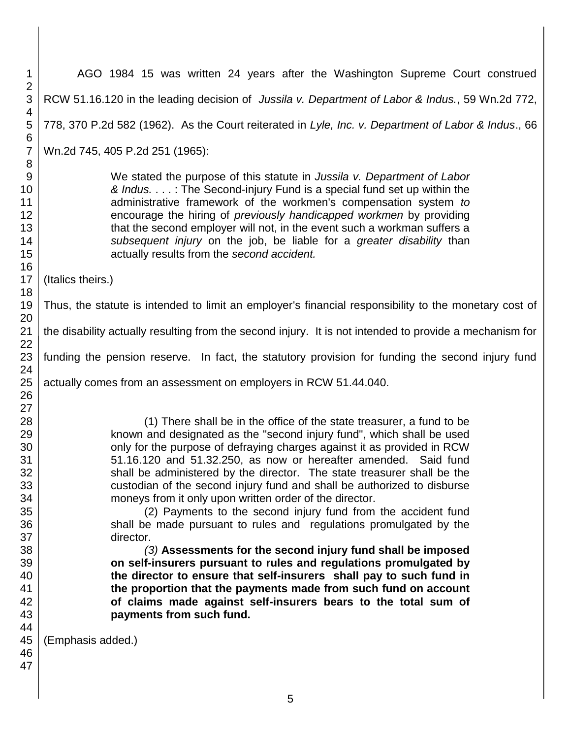1 2 3 4 5 6 7 8 9 10 11 12 13 14 15 16 17 18 19 20 21 22 23 24 25 26 27 28 29 30 31 32 33 34 35 36 37 38 39 40 41 42 43 44 45 46 47 AGO 1984 15 was written 24 years after the Washington Supreme Court construed RCW 51.16.120 in the leading decision of *Jussila v. Department of Labor & Indus.*, 59 Wn.2d 772, 778, 370 P.2d 582 (1962). As the Court reiterated in *Lyle, Inc. v. Department of Labor & Indus*., 66 Wn.2d 745, 405 P.2d 251 (1965): We stated the purpose of this statute in *Jussila v. Department of Labor & Indus.* . . . : The Second-injury Fund is a special fund set up within the administrative framework of the workmen's compensation system *to*  encourage the hiring of *previously handicapped workmen* by providing that the second employer will not, in the event such a workman suffers a *subsequent injury* on the job, be liable for a *greater disability* than actually results from the *second accident.*  (Italics theirs.) Thus, the statute is intended to limit an employer's financial responsibility to the monetary cost of the disability actually resulting from the second injury. It is not intended to provide a mechanism for funding the pension reserve. In fact, the statutory provision for funding the second injury fund actually comes from an assessment on employers in RCW 51.44.040. (1) There shall be in the office of the state treasurer, a fund to be known and designated as the "second injury fund", which shall be used only for the purpose of defraying charges against it as provided in RCW 51.16.120 and 51.32.250, as now or hereafter amended. Said fund shall be administered by the director. The state treasurer shall be the custodian of the second injury fund and shall be authorized to disburse moneys from it only upon written order of the director. (2) Payments to the second injury fund from the accident fund shall be made pursuant to rules and regulations promulgated by the director. *(3)* **Assessments for the second injury fund shall be imposed on self-insurers pursuant to rules and regulations promulgated by the director to ensure that self-insurers shall pay to such fund in the proportion that the payments made from such fund on account of claims made against self-insurers bears to the total sum of payments from such fund.**  (Emphasis added.)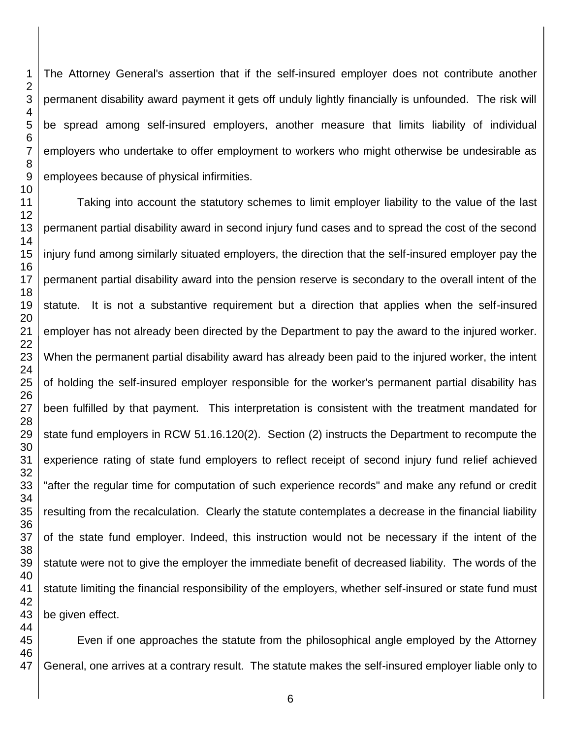The Attorney General's assertion that if the self-insured employer does not contribute another permanent disability award payment it gets off unduly lightly financially is unfounded. The risk will be spread among self-insured employers, another measure that limits liability of individual employers who undertake to offer employment to workers who might otherwise be undesirable as employees because of physical infirmities.

Taking into account the statutory schemes to limit employer liability to the value of the last permanent partial disability award in second injury fund cases and to spread the cost of the second injury fund among similarly situated employers, the direction that the self-insured employer pay the permanent partial disability award into the pension reserve is secondary to the overall intent of the statute. It is not a substantive requirement but a direction that applies when the self-insured employer has not already been directed by the Department to pay the award to the injured worker. When the permanent partial disability award has already been paid to the injured worker, the intent of holding the self-insured employer responsible for the worker's permanent partial disability has been fulfilled by that payment. This interpretation is consistent with the treatment mandated for state fund employers in RCW 51.16.120(2). Section (2) instructs the Department to recompute the experience rating of state fund employers to reflect receipt of second injury fund relief achieved "after the regular time for computation of such experience records" and make any refund or credit resulting from the recalculation. Clearly the statute contemplates a decrease in the financial liability of the state fund employer. Indeed, this instruction would not be necessary if the intent of the statute were not to give the employer the immediate benefit of decreased liability. The words of the statute limiting the financial responsibility of the employers, whether self-insured or state fund must be given effect.

Even if one approaches the statute from the philosophical angle employed by the Attorney General, one arrives at a contrary result. The statute makes the self-insured employer liable only to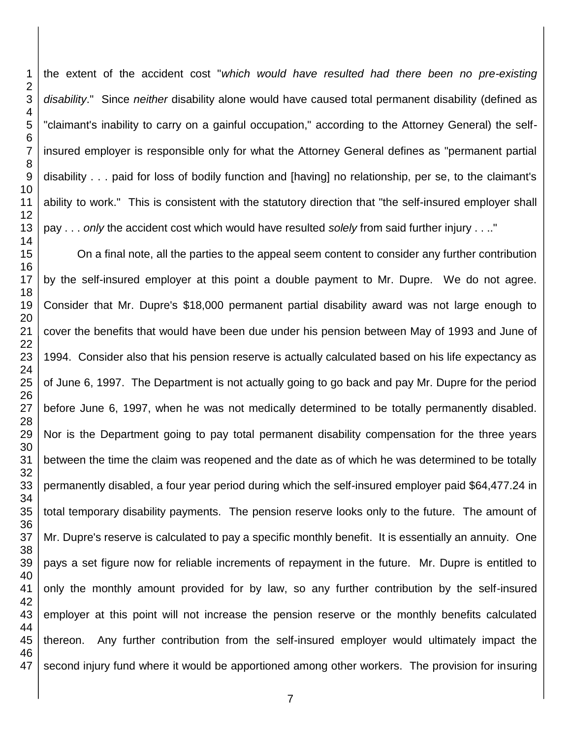the extent of the accident cost "*which would have resulted had there been no pre-existing disability*." Since *neither* disability alone would have caused total permanent disability (defined as "claimant's inability to carry on a gainful occupation," according to the Attorney General) the selfinsured employer is responsible only for what the Attorney General defines as "permanent partial disability . . . paid for loss of bodily function and [having] no relationship, per se, to the claimant's ability to work." This is consistent with the statutory direction that "the self-insured employer shall pay . . . *only* the accident cost which would have resulted *solely* from said further injury . . .." On a final note, all the parties to the appeal seem content to consider any further contribution

 by the self-insured employer at this point a double payment to Mr. Dupre. We do not agree. Consider that Mr. Dupre's \$18,000 permanent partial disability award was not large enough to cover the benefits that would have been due under his pension between May of 1993 and June of 1994. Consider also that his pension reserve is actually calculated based on his life expectancy as of June 6, 1997. The Department is not actually going to go back and pay Mr. Dupre for the period before June 6, 1997, when he was not medically determined to be totally permanently disabled. Nor is the Department going to pay total permanent disability compensation for the three years between the time the claim was reopened and the date as of which he was determined to be totally permanently disabled, a four year period during which the self-insured employer paid \$64,477.24 in total temporary disability payments. The pension reserve looks only to the future. The amount of Mr. Dupre's reserve is calculated to pay a specific monthly benefit. It is essentially an annuity. One pays a set figure now for reliable increments of repayment in the future. Mr. Dupre is entitled to only the monthly amount provided for by law, so any further contribution by the self-insured employer at this point will not increase the pension reserve or the monthly benefits calculated thereon. Any further contribution from the self-insured employer would ultimately impact the second injury fund where it would be apportioned among other workers. The provision for insuring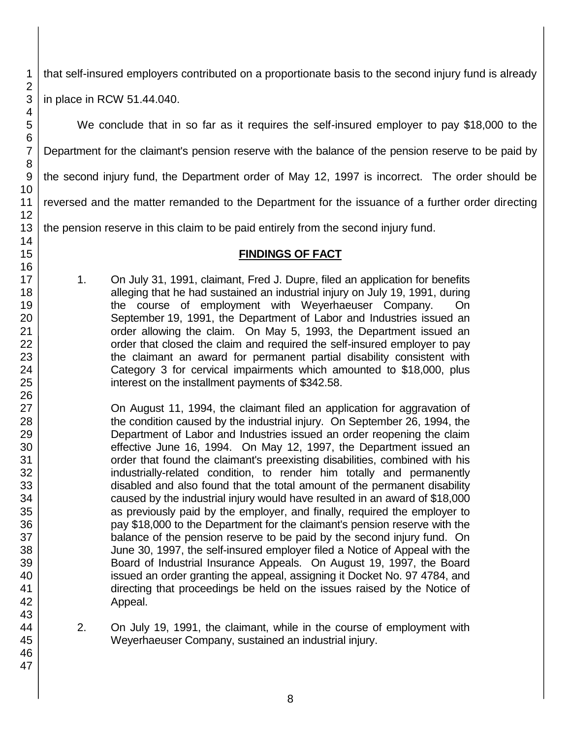that self-insured employers contributed on a proportionate basis to the second injury fund is already

in place in RCW 51.44.040.

We conclude that in so far as it requires the self-insured employer to pay \$18,000 to the Department for the claimant's pension reserve with the balance of the pension reserve to be paid by the second injury fund, the Department order of May 12, 1997 is incorrect. The order should be reversed and the matter remanded to the Department for the issuance of a further order directing

the pension reserve in this claim to be paid entirely from the second injury fund.

# **FINDINGS OF FACT**

1. On July 31, 1991, claimant, Fred J. Dupre, filed an application for benefits alleging that he had sustained an industrial injury on July 19, 1991, during the course of employment with Weyerhaeuser Company. On September 19, 1991, the Department of Labor and Industries issued an order allowing the claim. On May 5, 1993, the Department issued an order that closed the claim and required the self-insured employer to pay the claimant an award for permanent partial disability consistent with Category 3 for cervical impairments which amounted to \$18,000, plus interest on the installment payments of \$342.58.

On August 11, 1994, the claimant filed an application for aggravation of the condition caused by the industrial injury. On September 26, 1994, the Department of Labor and Industries issued an order reopening the claim effective June 16, 1994. On May 12, 1997, the Department issued an order that found the claimant's preexisting disabilities, combined with his industrially-related condition, to render him totally and permanently disabled and also found that the total amount of the permanent disability caused by the industrial injury would have resulted in an award of \$18,000 as previously paid by the employer, and finally, required the employer to pay \$18,000 to the Department for the claimant's pension reserve with the balance of the pension reserve to be paid by the second injury fund. On June 30, 1997, the self-insured employer filed a Notice of Appeal with the Board of Industrial Insurance Appeals. On August 19, 1997, the Board issued an order granting the appeal, assigning it Docket No. 97 4784, and directing that proceedings be held on the issues raised by the Notice of Appeal.

2. On July 19, 1991, the claimant, while in the course of employment with Weyerhaeuser Company, sustained an industrial injury.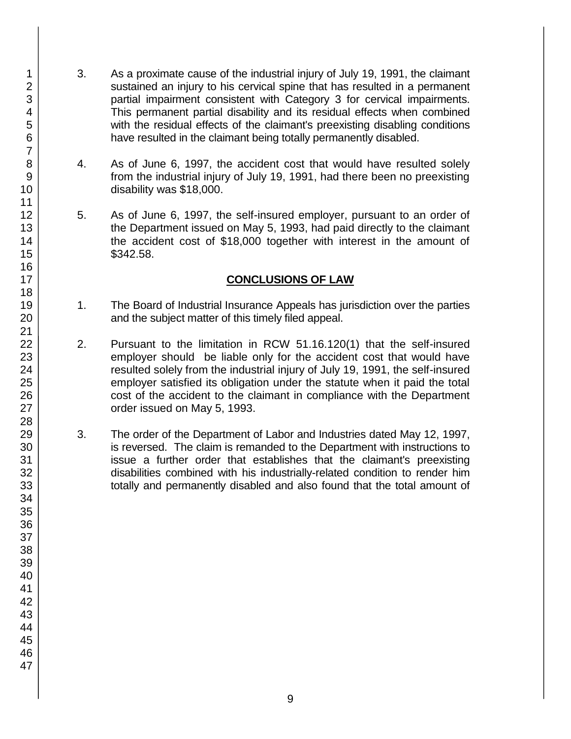- 3. As a proximate cause of the industrial injury of July 19, 1991, the claimant sustained an injury to his cervical spine that has resulted in a permanent partial impairment consistent with Category 3 for cervical impairments. This permanent partial disability and its residual effects when combined with the residual effects of the claimant's preexisting disabling conditions have resulted in the claimant being totally permanently disabled.
- 4. As of June 6, 1997, the accident cost that would have resulted solely from the industrial injury of July 19, 1991, had there been no preexisting disability was \$18,000.
- 5. As of June 6, 1997, the self-insured employer, pursuant to an order of the Department issued on May 5, 1993, had paid directly to the claimant the accident cost of \$18,000 together with interest in the amount of \$342.58.

## **CONCLUSIONS OF LAW**

- 1. The Board of Industrial Insurance Appeals has jurisdiction over the parties and the subject matter of this timely filed appeal.
- 2. Pursuant to the limitation in RCW 51.16.120(1) that the self-insured employer should be liable only for the accident cost that would have resulted solely from the industrial injury of July 19, 1991, the self-insured employer satisfied its obligation under the statute when it paid the total cost of the accident to the claimant in compliance with the Department order issued on May 5, 1993.
- 3. The order of the Department of Labor and Industries dated May 12, 1997, is reversed. The claim is remanded to the Department with instructions to issue a further order that establishes that the claimant's preexisting disabilities combined with his industrially-related condition to render him totally and permanently disabled and also found that the total amount of